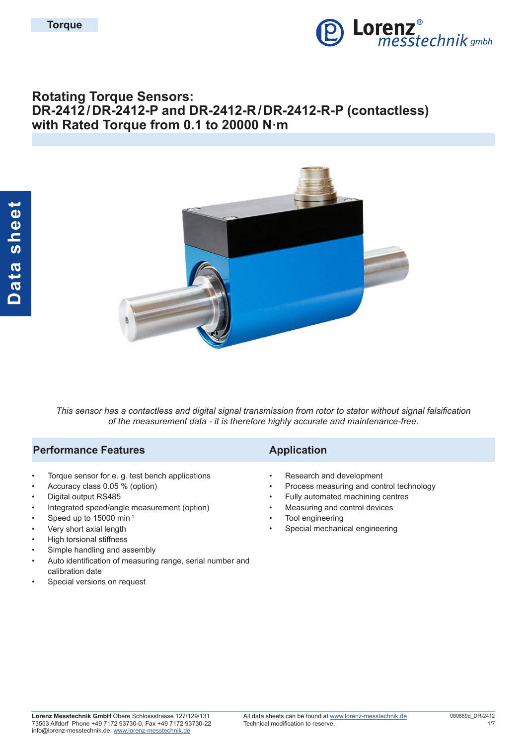

# **Rotating Torque Sensors: DR-2412/DR-2412-P and DR-2412-R/DR-2412-R-P (contactless) with Rated Torque from 0.1 to 20000 N·m**



*This sensor has a contactless and digital signal transmission from rotor to stator without signal falsification of the measurement data - it is therefore highly accurate and maintenance-free.*

### **Performance Features Application**

- Torque sensor for e. g. test bench applications
- Accuracy class 0.05 % (option)
- Digital output RS485
- Integrated speed/angle measurement (option)
- Speed up to 15000 min-1
- Very short axial length
- High torsional stiffness
- Simple handling and assembly
- Auto identification of measuring range, serial number and calibration date
- Special versions on request

- Research and development
- Process measuring and control technology
- Fully automated machining centres
- Measuring and control devices
- Tool engineering
- Special mechanical engineering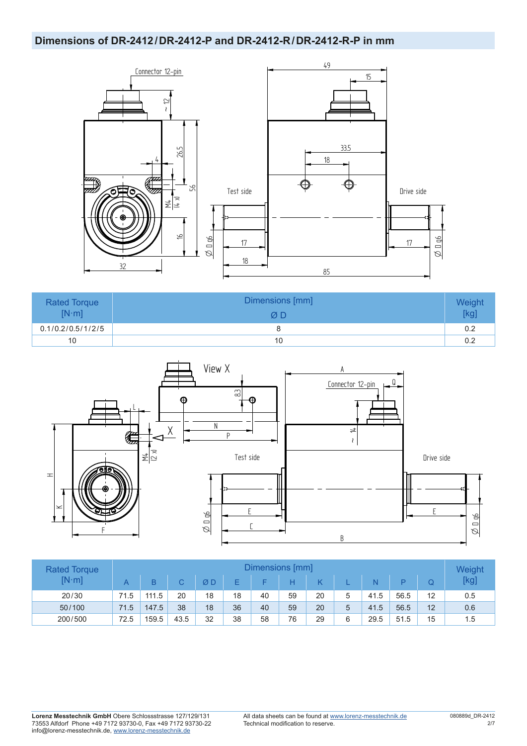## **Dimensions of DR-2412/DR-2412-P and DR-2412-R/DR-2412-R-P in mm**



| <b>Rated Torque</b><br>$[N \cdot m]$ | Dimensions [mm]<br>ØΒ | Weight<br>[kg |
|--------------------------------------|-----------------------|---------------|
| 0.1/0.2/0.5/1/2/5                    |                       | 0.2           |
| 10                                   | 10                    | 0.2           |



| <b>Rated Torque</b> | Dimensions [mm] |       |      |    |    |    |    |    |    |      |      | Weight |      |
|---------------------|-----------------|-------|------|----|----|----|----|----|----|------|------|--------|------|
| $[N \cdot m]$       |                 |       | C.   | ØD |    |    |    | Κ  |    | Ñ    |      |        | [kg] |
| 20/30               | 71.5            | 111.5 | 20   | 18 | 18 | 40 | 59 | 20 |    | 41.5 | 56.5 | 12     | 0.5  |
| 50/100              | 71.5            | 147.5 | 38   | 18 | 36 | 40 | 59 | 20 |    | 41.5 | 56.5 | 12     | 0.6  |
| 200/500             | 72.5            | 159.5 | 43.5 | 32 | 38 | 58 | 76 | 29 | ิค | 29.5 | 51.5 | 15     | 1.5  |

**Lorenz Messtechnik GmbH** Obere Schlossstrasse 127/129/131 73553 Alfdorf Phone +49 7172 93730-0, Fax +49 7172 93730-22 info@lorenz-messtechnik.de, [www.lorenz-messtechnik.de](https://www.lorenz-messtechnik.de)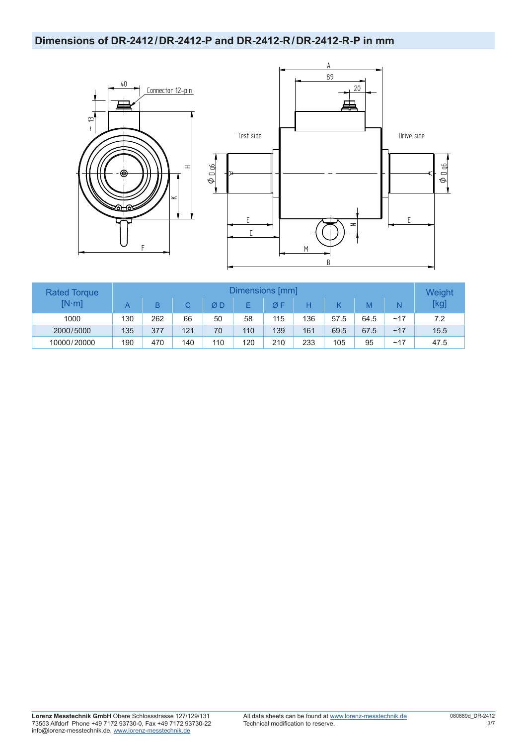## **Dimensions of DR-2412/DR-2412-P and DR-2412-R/DR-2412-R-P in mm**





| <b>Rated Torque</b> | Dimensions [mm] |     |     |     |     |     |     |      |      |     | Weight |
|---------------------|-----------------|-----|-----|-----|-----|-----|-----|------|------|-----|--------|
| $[N \cdot m]$       | A               | B   |     | ØD  |     | ØF  |     |      |      | N   | [kg]   |
| 1000                | 130             | 262 | 66  | 50  | 58  | 115 | 136 | 57.5 | 64.5 | ~17 | 7.2    |
| 2000/5000           | 135             | 377 | 121 | 70  | 110 | 139 | 161 | 69.5 | 67.5 | ~17 | 15.5   |
| 10000/20000         | 190             | 470 | 140 | 110 | 120 | 210 | 233 | 105  | 95   | ~17 | 47.5   |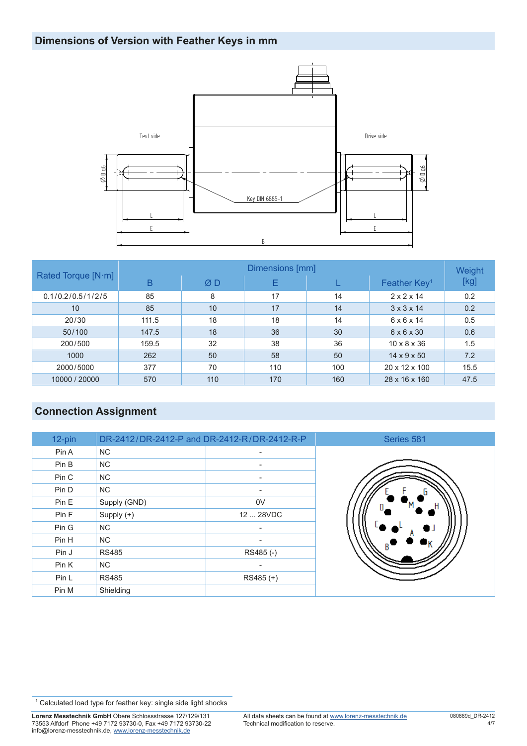# **Dimensions of Version with Feather Keys in mm**



|                    | Dimensions [mm] |     |     |     |                          |      |  |  |  |  |
|--------------------|-----------------|-----|-----|-----|--------------------------|------|--|--|--|--|
| Rated Torque [N·m] | B               | ØD  | E   |     | Feather Key <sup>1</sup> | [kg] |  |  |  |  |
| 0.1/0.2/0.5/1/2/5  | 85              | 8   | 17  | 14  | $2 \times 2 \times 14$   | 0.2  |  |  |  |  |
| 10                 | 85              | 10  | 17  | 14  | $3 \times 3 \times 14$   | 0.2  |  |  |  |  |
| 20/30              | 111.5           | 18  | 18  | 14  | $6 \times 6 \times 14$   | 0.5  |  |  |  |  |
| 50/100             | 147.5           | 18  | 36  | 30  | $6 \times 6 \times 30$   | 0.6  |  |  |  |  |
| 200/500            | 159.5           | 32  | 38  | 36  | $10 \times 8 \times 36$  | 1.5  |  |  |  |  |
| 1000               | 262             | 50  | 58  | 50  | $14 \times 9 \times 50$  | 7.2  |  |  |  |  |
| 2000/5000          | 377             | 70  | 110 | 100 | 20 x 12 x 100            | 15.5 |  |  |  |  |
| 10000 / 20000      | 570             | 110 | 170 | 160 | 28 x 16 x 160            | 47.5 |  |  |  |  |

# **Connection Assignment**

| 12-pin | DR-2412/DR-2412-P and DR-2412-R/DR-2412-R-P |                          | Series 581 |
|--------|---------------------------------------------|--------------------------|------------|
| Pin A  | NC.                                         | ۰                        |            |
| Pin B  | <b>NC</b>                                   |                          |            |
| Pin C  | NC.                                         | ٠                        |            |
| Pin D  | <b>NC</b>                                   |                          |            |
| Pin E  | Supply (GND)                                | 0V                       |            |
| Pin F  | Supply (+)                                  | 12  28VDC                |            |
| Pin G  | NC.                                         | ۰                        |            |
| Pin H  | NC.                                         | $\overline{\phantom{a}}$ |            |
| Pin J  | <b>RS485</b>                                | RS485(-)                 |            |
| Pin K  | NC.                                         | ۰                        |            |
| Pin L  | <b>RS485</b>                                | RS485 (+)                |            |
| Pin M  | Shielding                                   |                          |            |

<sup>1</sup> Calculated load type for feather key: single side light shocks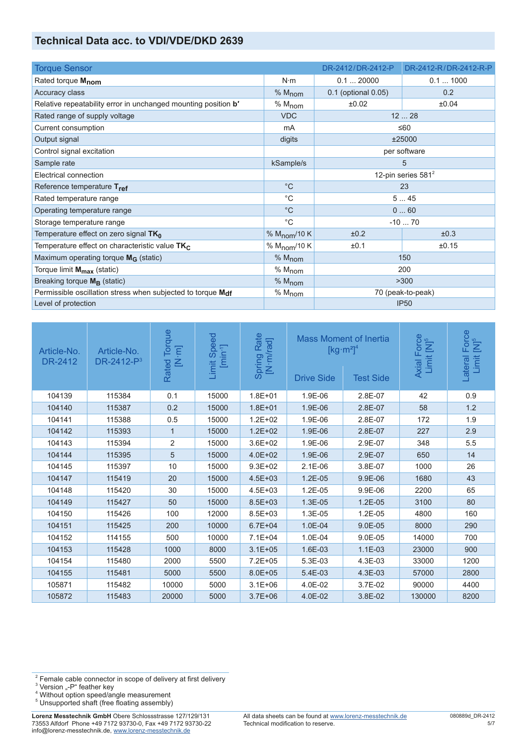## **Technical Data acc. to VDI/VDE/DKD 2639**

| <b>Torque Sensor</b>                                           |                          | DR-2412/DR-2412-P     | DR-2412-R/DR-2412-R-P |  |
|----------------------------------------------------------------|--------------------------|-----------------------|-----------------------|--|
| Rated torque M <sub>nom</sub>                                  | $N \cdot m$              | 0.120000              | 0.11000               |  |
| Accuracy class                                                 | % M <sub>nom</sub>       | 0.1 (optional 0.05)   | 0.2                   |  |
| Relative repeatability error in unchanged mounting position b' | % M <sub>nom</sub>       | ±0.02                 | ±0.04                 |  |
| Rated range of supply voltage                                  | <b>VDC</b>               |                       | 1228                  |  |
| Current consumption                                            | mA                       |                       | $\leq 60$             |  |
| Output signal                                                  | digits                   |                       | ±25000                |  |
| Control signal excitation                                      |                          |                       | per software          |  |
| Sample rate                                                    | kSample/s                |                       | 5                     |  |
| Electrical connection                                          |                          | 12-pin series $581^2$ |                       |  |
| Reference temperature Tref                                     | $^{\circ}C$              | 23                    |                       |  |
| Rated temperature range                                        | $^{\circ}C$              | 545                   |                       |  |
| Operating temperature range                                    | $^{\circ}C$              | 060                   |                       |  |
| Storage temperature range                                      | $^{\circ}C$              |                       | $-1070$               |  |
| Temperature effect on zero signal $TK_0$                       | % $M_{\text{nom}}/10 K$  | ±0.2                  | ±0.3                  |  |
| Temperature effect on characteristic value $TK_C$              | % M <sub>nom</sub> /10 K | ±0.1                  | ±0.15                 |  |
| Maximum operating torque $M_G$ (static)                        | % M <sub>nom</sub>       |                       | 150                   |  |
| Torque limit M <sub>max</sub> (static)                         | % M <sub>nom</sub>       |                       | 200                   |  |
| Breaking torque $M_{\rm B}$ (static)                           | % M <sub>nom</sub>       |                       | >300                  |  |
| Permissible oscillation stress when subjected to torque Mdf    | % M <sub>nom</sub>       |                       | 70 (peak-to-peak)     |  |
| Level of protection                                            |                          |                       | <b>IP50</b>           |  |

| Article-No.<br><b>DR-2412</b> | Article-No.<br>DR-2412-P <sup>3</sup> | Torque<br>$\begin{bmatrix} \mathbf{N} \cdot \mathbf{m} \end{bmatrix}$<br>Rated | nit Speed<br>[min <sup>-1</sup> ]<br>Limit | Spring Rate<br>[N·m/rad] | <b>Drive Side</b> | <b>Mass Moment of Inertia</b><br>$\left[\text{kg}\cdot\text{m}^2\right]^4$<br><b>Test Side</b> | Axial Force<br>Limit [N] <sup>5</sup> | Force<br>[N] <sup>5</sup><br>Lateral<br>Limit |
|-------------------------------|---------------------------------------|--------------------------------------------------------------------------------|--------------------------------------------|--------------------------|-------------------|------------------------------------------------------------------------------------------------|---------------------------------------|-----------------------------------------------|
| 104139                        | 115384                                | 0.1                                                                            | 15000                                      | $1.8E + 01$              | 1.9E-06           | 2.8E-07                                                                                        | 42                                    | 0.9                                           |
| 104140                        | 115387                                | 0.2                                                                            | 15000                                      | $1.8E + 01$              | 1.9E-06           | 2.8E-07                                                                                        | 58                                    | 1.2                                           |
| 104141                        | 115388                                | 0.5                                                                            | 15000                                      | $1.2E + 02$              | 1.9E-06           | 2.8E-07                                                                                        | 172                                   | 1.9                                           |
| 104142                        | 115393                                | $\mathbf 1$                                                                    | 15000                                      | $1.2E + 02$              | 1.9E-06           | 2.8E-07                                                                                        | 227                                   | 2.9                                           |
| 104143                        | 115394                                | $\overline{2}$                                                                 | 15000                                      | $3.6E + 02$              | 1.9E-06           | 2.9E-07                                                                                        | 348                                   | 5.5                                           |
| 104144                        | 115395                                | 5                                                                              | 15000                                      | $4.0E + 02$              | 1.9E-06           | 2.9E-07                                                                                        | 650                                   | 14                                            |
| 104145                        | 115397                                | 10                                                                             | 15000                                      | $9.3E + 02$              | $2.1E-06$         | 3.8E-07                                                                                        | 1000                                  | 26                                            |
| 104147                        | 115419                                | 20                                                                             | 15000                                      | $4.5E + 03$              | $1.2E-05$         | 9.9E-06                                                                                        | 1680                                  | 43                                            |
| 104148                        | 115420                                | 30                                                                             | 15000                                      | $4.5E + 03$              | 1.2E-05           | 9.9E-06                                                                                        | 2200                                  | 65                                            |
| 104149                        | 115427                                | 50                                                                             | 15000                                      | $8.5E + 03$              | 1.3E-05           | $1.2E-05$                                                                                      | 3100                                  | 80                                            |
| 104150                        | 115426                                | 100                                                                            | 12000                                      | $8.5E + 03$              | 1.3E-05           | 1.2E-05                                                                                        | 4800                                  | 160                                           |
| 104151                        | 115425                                | 200                                                                            | 10000                                      | $6.7E + 04$              | 1.0E-04           | 9.0E-05                                                                                        | 8000                                  | 290                                           |
| 104152                        | 114155                                | 500                                                                            | 10000                                      | $7.1E + 04$              | 1.0E-04           | 9.0E-05                                                                                        | 14000                                 | 700                                           |
| 104153                        | 115428                                | 1000                                                                           | 8000                                       | $3.1E + 05$              | 1.6E-03           | $1.1E-03$                                                                                      | 23000                                 | 900                                           |
| 104154                        | 115480                                | 2000                                                                           | 5500                                       | $7.2E + 05$              | 5.3E-03           | 4.3E-03                                                                                        | 33000                                 | 1200                                          |
| 104155                        | 115481                                | 5000                                                                           | 5500                                       | $8.0E + 05$              | 5.4E-03           | 4.3E-03                                                                                        | 57000                                 | 2800                                          |
| 105871                        | 115482                                | 10000                                                                          | 5000                                       | $3.1E + 06$              | 4.0E-02           | 3.7E-02                                                                                        | 90000                                 | 4400                                          |
| 105872                        | 115483                                | 20000                                                                          | 5000                                       | $3.7E + 06$              | 4.0E-02           | 3.8E-02                                                                                        | 130000                                | 8200                                          |

- <sup>3</sup> Version "-P" feather key<br><sup>4</sup> Without option speed/angle measurement<br><sup>5</sup> Unsupported shaft (free floating assembly)
- 

 $2$  Female cable connector in scope of delivery at first delivery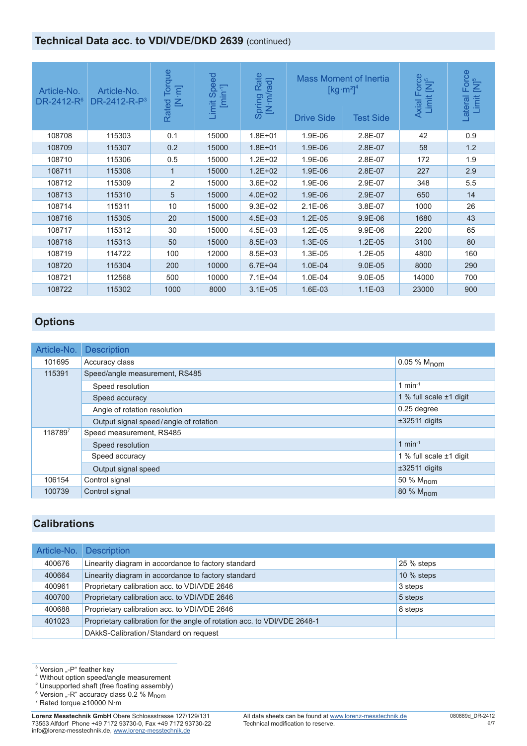## **Technical Data acc. to VDI/VDE/DKD 2639 (continued)**

| Article-No.<br>DR-2412-R <sup>6</sup> | Article-No.<br>$DR-2412-R-P3$ | Torque<br>$\overline{F}$<br>۷<br>Rated | Speed<br>$[min^{-1}]$<br>Limit | Rate<br>[N·m/rad]<br>Spring | <b>Drive Side</b> | <b>Mass Moment of Inertia</b><br>$\left[\text{kg}\cdot\text{m}^2\right]^4$<br>Test Side | Axial Force<br>Limit [N] <sup>5</sup> | Force<br>[N] <sup>5</sup><br>Limit<br>Lateral |
|---------------------------------------|-------------------------------|----------------------------------------|--------------------------------|-----------------------------|-------------------|-----------------------------------------------------------------------------------------|---------------------------------------|-----------------------------------------------|
| 108708                                | 115303                        | 0.1                                    | 15000                          | $1.8E + 01$                 | 1.9E-06           | 2.8E-07                                                                                 | 42                                    | 0.9                                           |
| 108709                                | 115307                        | 0.2                                    | 15000                          | $1.8E + 01$                 | 1.9E-06           | 2.8E-07                                                                                 | 58                                    | 1.2                                           |
| 108710                                | 115306                        | 0.5                                    | 15000                          | $1.2E + 02$                 | 1.9E-06           | 2.8E-07                                                                                 | 172                                   | 1.9                                           |
| 108711                                | 115308                        | $\mathbf 1$                            | 15000                          | $1.2E + 02$                 | 1.9E-06           | 2.8E-07                                                                                 | 227                                   | 2.9                                           |
| 108712                                | 115309                        | 2                                      | 15000                          | $3.6E + 02$                 | 1.9E-06           | 2.9E-07                                                                                 | 348                                   | 5.5                                           |
| 108713                                | 115310                        | 5                                      | 15000                          | $4.0E + 02$                 | 1.9E-06           | 2.9E-07                                                                                 | 650                                   | 14                                            |
| 108714                                | 115311                        | 10                                     | 15000                          | $9.3E + 02$                 | $2.1E-06$         | 3.8E-07                                                                                 | 1000                                  | 26                                            |
| 108716                                | 115305                        | 20                                     | 15000                          | $4.5E + 03$                 | $1.2E - 05$       | 9.9E-06                                                                                 | 1680                                  | 43                                            |
| 108717                                | 115312                        | 30                                     | 15000                          | $4.5E + 03$                 | 1.2E-05           | 9.9E-06                                                                                 | 2200                                  | 65                                            |
| 108718                                | 115313                        | 50                                     | 15000                          | $8.5E + 03$                 | 1.3E-05           | $1.2E-05$                                                                               | 3100                                  | 80                                            |
| 108719                                | 114722                        | 100                                    | 12000                          | $8.5E + 03$                 | 1.3E-05           | 1.2E-05                                                                                 | 4800                                  | 160                                           |
| 108720                                | 115304                        | 200                                    | 10000                          | $6.7E + 04$                 | 1.0E-04           | 9.0E-05                                                                                 | 8000                                  | 290                                           |
| 108721                                | 112568                        | 500                                    | 10000                          | $7.1E + 04$                 | 1.0E-04           | $9.0E-05$                                                                               | 14000                                 | 700                                           |
| 108722                                | 115302                        | 1000                                   | 8000                           | $3.1E + 05$                 | 1.6E-03           | $1.1E-03$                                                                               | 23000                                 | 900                                           |

# **Options**

| Article-No. | <b>Description</b>                    |                         |
|-------------|---------------------------------------|-------------------------|
| 101695      | Accuracy class                        | 0.05 % M <sub>nom</sub> |
| 115391      | Speed/angle measurement, RS485        |                         |
|             | Speed resolution                      | 1 min $-1$              |
|             | Speed accuracy                        | 1 % full scale ±1 digit |
|             | Angle of rotation resolution          | 0.25 degree             |
|             | Output signal speed/angle of rotation | $±32511$ digits         |
| 1187897     | Speed measurement, RS485              |                         |
|             | Speed resolution                      | 1 min $-1$              |
|             | Speed accuracy                        | 1 % full scale ±1 digit |
|             | Output signal speed                   | ±32511 digits           |
| 106154      | Control signal                        | 50 % M <sub>nom</sub>   |
| 100739      | Control signal                        | 80 % M <sub>nom</sub>   |

### **Calibrations**

| Article-No. | <b>Description</b>                                                       |              |
|-------------|--------------------------------------------------------------------------|--------------|
| 400676      | Linearity diagram in accordance to factory standard                      | 25 % steps   |
| 400664      | Linearity diagram in accordance to factory standard                      | $10\%$ steps |
| 400961      | Proprietary calibration acc. to VDI/VDE 2646                             | 3 steps      |
| 400700      | Proprietary calibration acc. to VDI/VDE 2646                             | 5 steps      |
| 400688      | Proprietary calibration acc. to VDI/VDE 2646                             | 8 steps      |
| 401023      | Proprietary calibration for the angle of rotation acc. to VDI/VDE 2648-1 |              |
|             | DAkkS-Calibration/Standard on request                                    |              |

7 Rated torque ≥10000 N·m

<sup>&</sup>lt;sup>3</sup> Version "-P" feather key<br><sup>4</sup> Without option speed/angle measurement

<sup>&</sup>lt;sup>5</sup> Unsupported shaft (free floating assembly)

<sup>&</sup>lt;sup>6</sup> Version "-R" accuracy class 0.2 % Mnom